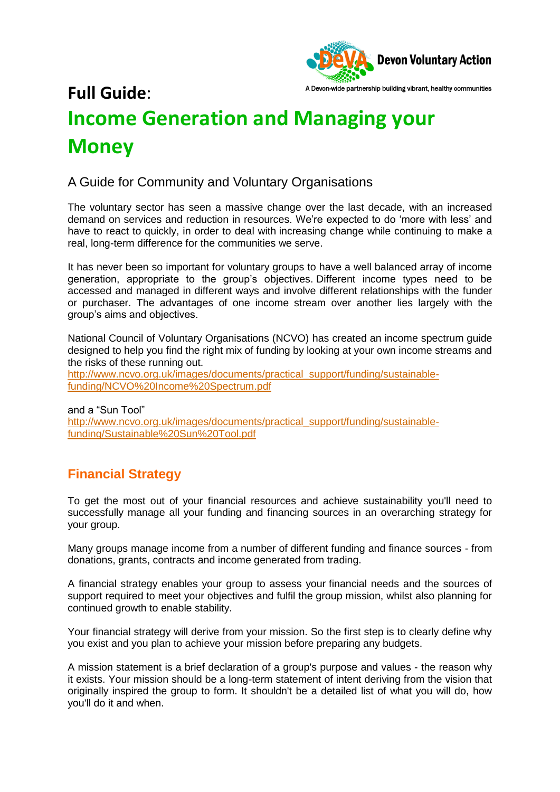

# A Devon-wide partnership building vibrant, healthy communities **Full Guide**: **Income Generation and Managing your Money**

## A Guide for Community and Voluntary Organisations

The voluntary sector has seen a massive change over the last decade, with an increased demand on services and reduction in resources. We're expected to do 'more with less' and have to react to quickly, in order to deal with increasing change while continuing to make a real, long-term difference for the communities we serve.

It has never been so important for voluntary groups to have a well balanced array of income generation, appropriate to the group's objectives. Different income types need to be accessed and managed in different ways and involve different relationships with the funder or purchaser. The advantages of one income stream over another lies largely with the group's aims and objectives.

National Council of Voluntary Organisations (NCVO) has created an income spectrum guide designed to help you find the right mix of funding by looking at your own income streams and the risks of these running out.

[http://www.ncvo.org.uk/images/documents/practical\\_support/funding/sustainable](http://www.ncvo.org.uk/images/documents/practical_support/funding/sustainable-funding/NCVO%20Income%20Spectrum.pdf)[funding/NCVO%20Income%20Spectrum.pdf](http://www.ncvo.org.uk/images/documents/practical_support/funding/sustainable-funding/NCVO%20Income%20Spectrum.pdf)

and a "Sun Tool" [http://www.ncvo.org.uk/images/documents/practical\\_support/funding/sustainable](http://www.ncvo.org.uk/images/documents/practical_support/funding/sustainable-funding/Sustainable%20Sun%20Tool.pdf)[funding/Sustainable%20Sun%20Tool.pdf](http://www.ncvo.org.uk/images/documents/practical_support/funding/sustainable-funding/Sustainable%20Sun%20Tool.pdf)

## **Financial Strategy**

To get the most out of your financial resources and achieve sustainability you'll need to successfully manage all your funding and financing sources in an overarching strategy for your group.

Many groups manage income from a number of different funding and finance sources - from donations, grants, contracts and income generated from trading.

A financial strategy enables your group to assess your financial needs and the sources of support required to meet your objectives and fulfil the group mission, whilst also planning for continued growth to enable stability.

Your financial strategy will derive from your mission. So the first step is to clearly define why you exist and you plan to achieve your mission before preparing any budgets.

A mission statement is a brief declaration of a group's purpose and values - the reason why it exists. Your mission should be a long-term statement of intent deriving from the vision that originally inspired the group to form. It shouldn't be a detailed list of what you will do, how you'll do it and when.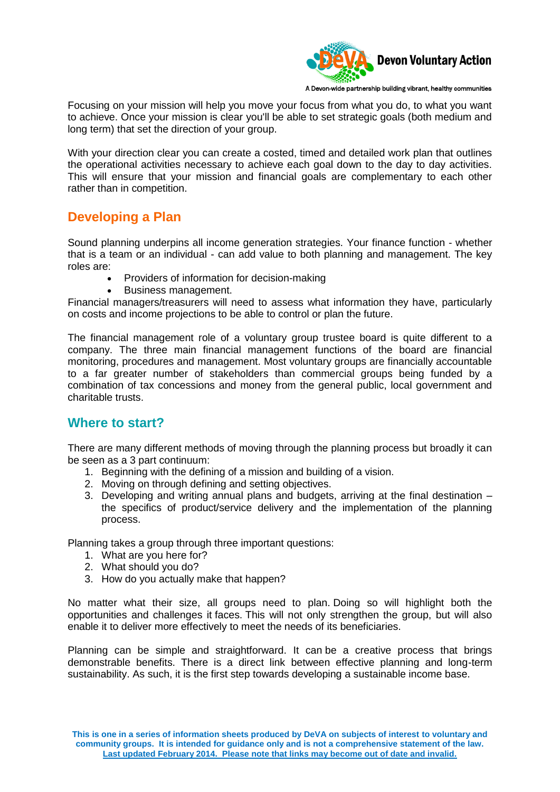

A Devon-wide partnership building vibrant, healthy communities

Focusing on your mission will help you move your focus from what you do, to what you want to achieve. Once your mission is clear you'll be able to set strategic goals (both medium and long term) that set the direction of your group.

With your direction clear you can create a costed, timed and detailed work plan that outlines the operational activities necessary to achieve each goal down to the day to day activities. This will ensure that your mission and financial goals are complementary to each other rather than in competition.

## **Developing a Plan**

Sound planning underpins all income generation strategies. Your finance function - whether that is a team or an individual - can add value to both planning and management. The key roles are:

- Providers of information for decision-making
- Business management.

Financial managers/treasurers will need to assess what information they have, particularly on costs and income projections to be able to control or plan the future.

The financial management role of a voluntary group trustee board is quite different to a company. The three main financial management functions of the board are financial monitoring, procedures and management. Most voluntary groups are financially accountable to a far greater number of stakeholders than commercial groups being funded by a combination of tax concessions and money from the general public, local government and charitable trusts.

## **Where to start?**

There are many different methods of moving through the planning process but broadly it can be seen as a 3 part continuum:

- 1. Beginning with the defining of a mission and building of a vision.
- 2. Moving on through defining and setting objectives.
- 3. Developing and writing annual plans and budgets, arriving at the final destination the specifics of product/service delivery and the implementation of the planning process.

Planning takes a group through three important questions:

- 1. What are you here for?
- 2. What should you do?
- 3. How do you actually make that happen?

No matter what their size, all groups need to plan. Doing so will highlight both the opportunities and challenges it faces. This will not only strengthen the group, but will also enable it to deliver more effectively to meet the needs of its beneficiaries.

Planning can be simple and straightforward. It can be a creative process that brings demonstrable benefits. There is a direct link between effective planning and long-term sustainability. As such, it is the first step towards developing a sustainable income base.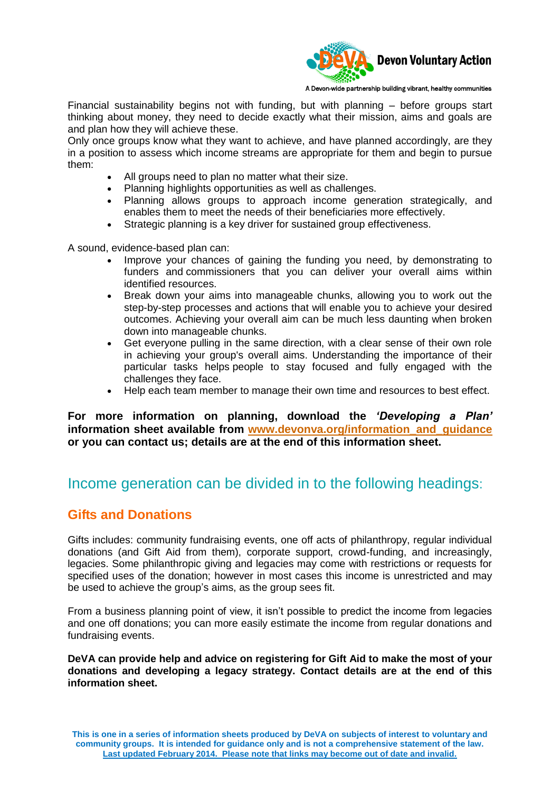

A Devon-wide partnership building vibrant, healthy communities

Financial sustainability begins not with funding, but with planning – before groups start thinking about money, they need to decide exactly what their mission, aims and goals are and plan how they will achieve these.

Only once groups know what they want to achieve, and have planned accordingly, are they in a position to assess which income streams are appropriate for them and begin to pursue them:

- All groups need to plan no matter what their size.
- Planning highlights opportunities as well as challenges.
- Planning allows groups to approach income generation strategically, and enables them to meet the needs of their beneficiaries more effectively.
- Strategic planning is a key driver for sustained group effectiveness.

A sound, evidence-based plan can:

- Improve your chances of gaining the funding you need, by demonstrating to funders and commissioners that you can deliver your overall aims within identified resources.
- Break down your aims into manageable chunks, allowing you to work out the step-by-step processes and actions that will enable you to achieve your desired outcomes. Achieving your overall aim can be much less daunting when broken down into manageable chunks.
- Get everyone pulling in the same direction, with a clear sense of their own role in achieving your group's overall aims. Understanding the importance of their particular tasks helps people to stay focused and fully engaged with the challenges they face.
- Help each team member to manage their own time and resources to best effect.

**For more information on planning, download the** *'Developing a Plan'*  **information sheet available from [www.devonva.org/information\\_and\\_guidance](http://www.devonva.org/information_and_guidance) or you can contact us; details are at the end of this information sheet.** 

# Income generation can be divided in to the following headings:

## **Gifts and Donations**

Gifts includes: community fundraising events, one off acts of philanthropy, regular individual donations (and Gift Aid from them), corporate support, crowd-funding, and increasingly, legacies. Some philanthropic giving and legacies may come with restrictions or requests for specified uses of the donation; however in most cases this income is unrestricted and may be used to achieve the group's aims, as the group sees fit.

From a business planning point of view, it isn't possible to predict the income from legacies and one off donations; you can more easily estimate the income from regular donations and fundraising events.

**DeVA can provide help and advice on registering for Gift Aid to make the most of your donations and developing a legacy strategy. Contact details are at the end of this information sheet.**

**This is one in a series of information sheets produced by DeVA on subjects of interest to voluntary and community groups. It is intended for guidance only and is not a comprehensive statement of the law. Last updated February 2014. Please note that links may become out of date and invalid.**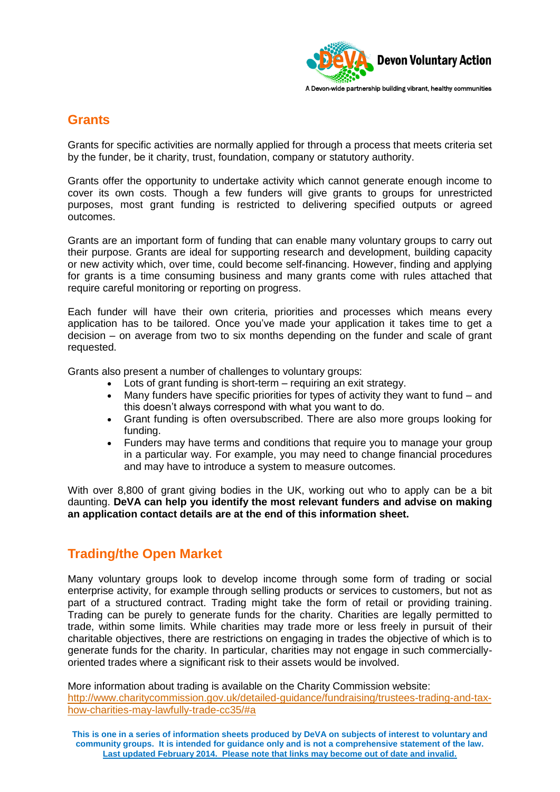

### **Grants**

Grants for specific activities are normally applied for through a process that meets criteria set by the funder, be it charity, trust, foundation, company or statutory authority.

Grants offer the opportunity to undertake activity which cannot generate enough income to cover its own costs. Though a few funders will give grants to groups for unrestricted purposes, most grant funding is restricted to delivering specified outputs or agreed outcomes.

Grants are an important form of funding that can enable many voluntary groups to carry out their purpose. Grants are ideal for supporting research and development, building capacity or new activity which, over time, could become self-financing. However, finding and applying for grants is a time consuming business and many grants come with rules attached that require careful monitoring or reporting on progress.

Each funder will have their own criteria, priorities and processes which means every application has to be tailored. Once you've made your application it takes time to get a decision – on average from two to six months depending on the funder and scale of grant requested.

Grants also present a number of challenges to voluntary groups:

- Lots of grant funding is short-term requiring an exit strategy.
- Many funders have specific priorities for types of activity they want to fund and this doesn't always correspond with what you want to do.
- Grant funding is often oversubscribed. There are also more groups looking for funding.
- Funders may have terms and conditions that require you to manage your group in a particular way. For example, you may need to change financial procedures and may have to introduce a system to measure outcomes.

With over 8,800 of grant giving bodies in the UK, working out who to apply can be a bit daunting. **DeVA can help you identify the most relevant funders and advise on making an application contact details are at the end of this information sheet.** 

## **Trading/the Open Market**

Many voluntary groups look to develop income through some form of trading or social enterprise activity, for example through selling products or services to customers, but not as part of a structured contract. Trading might take the form of retail or providing training. Trading can be purely to generate funds for the charity. Charities are legally permitted to trade, within some limits. While charities may trade more or less freely in pursuit of their charitable objectives, there are restrictions on engaging in trades the objective of which is to generate funds for the charity. In particular, charities may not engage in such commerciallyoriented trades where a significant risk to their assets would be involved.

More information about trading is available on the Charity Commission website: [http://www.charitycommission.gov.uk/detailed-guidance/fundraising/trustees-trading-and-tax](http://www.charitycommission.gov.uk/detailed-guidance/fundraising/trustees-trading-and-tax-how-charities-may-lawfully-trade-cc35/#a)[how-charities-may-lawfully-trade-cc35/#a](http://www.charitycommission.gov.uk/detailed-guidance/fundraising/trustees-trading-and-tax-how-charities-may-lawfully-trade-cc35/#a)

**This is one in a series of information sheets produced by DeVA on subjects of interest to voluntary and community groups. It is intended for guidance only and is not a comprehensive statement of the law. Last updated February 2014. Please note that links may become out of date and invalid.**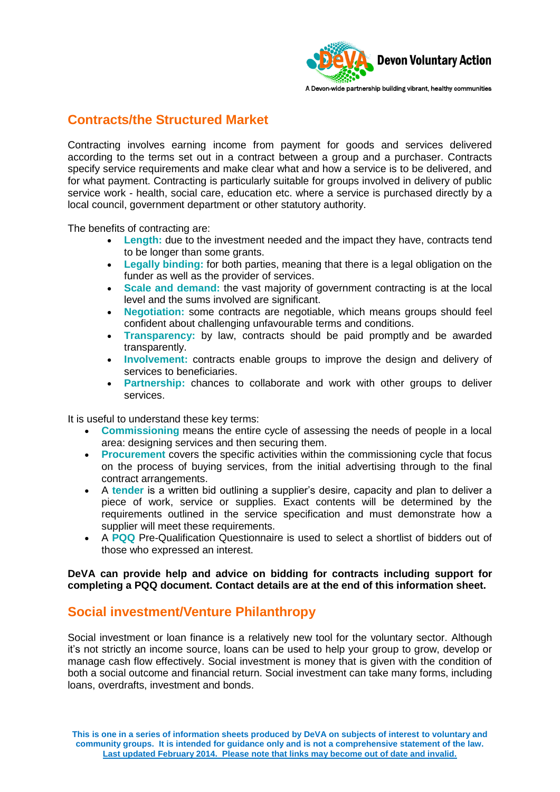

## **Contracts/the Structured Market**

Contracting involves earning income from payment for goods and services delivered according to the terms set out in a contract between a group and a purchaser. Contracts specify service requirements and make clear what and how a service is to be delivered, and for what payment. Contracting is particularly suitable for groups involved in delivery of public service work - health, social care, education etc. where a service is purchased directly by a local council, government department or other statutory authority.

The benefits of contracting are:

- **Length:** due to the investment needed and the impact they have, contracts tend to be longer than some grants.
- **Legally binding:** for both parties, meaning that there is a legal obligation on the funder as well as the provider of services.
- **Scale and demand:** the vast majority of government contracting is at the local level and the sums involved are significant.
- **Negotiation:** some contracts are negotiable, which means groups should feel confident about challenging unfavourable terms and conditions.
- **Transparency:** by law, contracts should be paid promptly and be awarded transparently.
- **Involvement:** contracts enable groups to improve the design and delivery of services to beneficiaries.
- **Partnership:** chances to collaborate and work with other groups to deliver services.

It is useful to understand these key terms:

- **Commissioning** means the entire cycle of assessing the needs of people in a local area: designing services and then securing them.
- **Procurement** covers the specific activities within the commissioning cycle that focus on the process of buying services, from the initial advertising through to the final contract arrangements.
- A **tender** is a written bid outlining a supplier's desire, capacity and plan to deliver a piece of work, service or supplies. Exact contents will be determined by the requirements outlined in the service specification and must demonstrate how a supplier will meet these requirements.
- A **PQQ** Pre-Qualification Questionnaire is used to select a shortlist of bidders out of those who expressed an interest.

### **DeVA can provide help and advice on bidding for contracts including support for completing a PQQ document. Contact details are at the end of this information sheet.**

## **Social investment/Venture Philanthropy**

Social investment or loan finance is a relatively new tool for the voluntary sector. Although it's not strictly an income source, loans can be used to help your group to grow, develop or manage cash flow effectively. Social investment is money that is given with the condition of both a social outcome and financial return. Social investment can take many forms, including loans, overdrafts, investment and bonds.